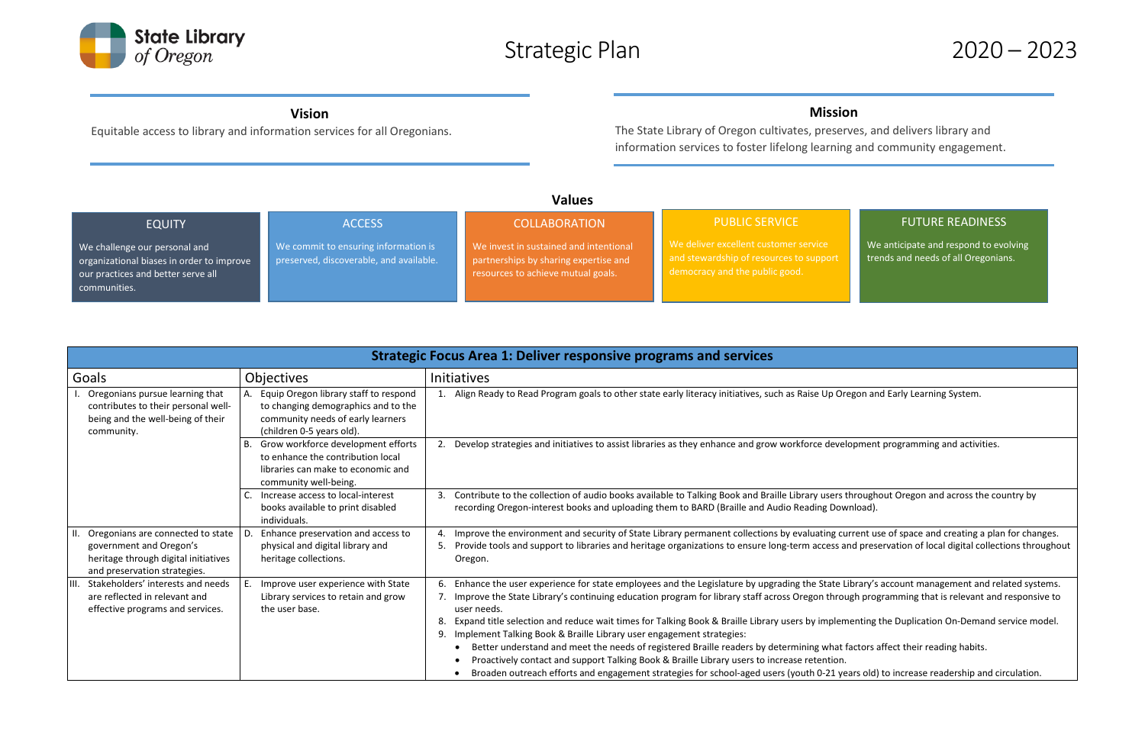

# Strategic Plan 2020 – 2023

## **Values**

| <b>Strategic Focus Area 1: Deliver responsive programs and services</b>                                                                  |                                                                                                                                                     |                                                                                                                                                                                                                                                                                                                                                                                                                                                                                                                                                                                                                     |
|------------------------------------------------------------------------------------------------------------------------------------------|-----------------------------------------------------------------------------------------------------------------------------------------------------|---------------------------------------------------------------------------------------------------------------------------------------------------------------------------------------------------------------------------------------------------------------------------------------------------------------------------------------------------------------------------------------------------------------------------------------------------------------------------------------------------------------------------------------------------------------------------------------------------------------------|
| Goals                                                                                                                                    | <b>Objectives</b>                                                                                                                                   | <b>Initiatives</b>                                                                                                                                                                                                                                                                                                                                                                                                                                                                                                                                                                                                  |
| Oregonians pursue learning that<br>contributes to their personal well-<br>being and the well-being of their<br>community.                | A. Equip Oregon library staff to respond<br>to changing demographics and to the<br>community needs of early learners<br>(children 0-5 years old).   | 1. Align Ready to Read Program goals to other state early literacy initiatives, such as Raise Up Oregon ar                                                                                                                                                                                                                                                                                                                                                                                                                                                                                                          |
|                                                                                                                                          | Grow workforce development efforts<br><b>B.</b><br>to enhance the contribution local<br>libraries can make to economic and<br>community well-being. | 2. Develop strategies and initiatives to assist libraries as they enhance and grow workforce developmen                                                                                                                                                                                                                                                                                                                                                                                                                                                                                                             |
|                                                                                                                                          | Increase access to local-interest<br>books available to print disabled<br>individuals.                                                              | Contribute to the collection of audio books available to Talking Book and Braille Library users through<br>3.<br>recording Oregon-interest books and uploading them to BARD (Braille and Audio Reading Download).                                                                                                                                                                                                                                                                                                                                                                                                   |
| II. Oregonians are connected to state<br>government and Oregon's<br>heritage through digital initiatives<br>and preservation strategies. | Enhance preservation and access to<br>physical and digital library and<br>heritage collections.                                                     | Improve the environment and security of State Library permanent collections by evaluating current u<br>4.<br>Provide tools and support to libraries and heritage organizations to ensure long-term access and pres<br>5.<br>Oregon.                                                                                                                                                                                                                                                                                                                                                                                 |
| Stakeholders' interests and needs<br>THI.<br>are reflected in relevant and<br>effective programs and services.                           | Improve user experience with State<br>E.<br>Library services to retain and grow<br>the user base.                                                   | Enhance the user experience for state employees and the Legislature by upgrading the State Library's<br>Improve the State Library's continuing education program for library staff across Oregon through pro<br>user needs.<br>Expand title selection and reduce wait times for Talking Book & Braille Library users by implementing<br>Implement Talking Book & Braille Library user engagement strategies:<br>9.<br>Better understand and meet the needs of registered Braille readers by determining what factors<br>Proactively contact and support Talking Book & Braille Library users to increase retention. |
|                                                                                                                                          |                                                                                                                                                     | Broaden outreach efforts and engagement strategies for school-aged users (youth 0-21 years old)                                                                                                                                                                                                                                                                                                                                                                                                                                                                                                                     |

### **Vision**

Equitable access to library and information services for all Oregonians.

## **Mission**

The State Library of Oregon cultivates, preserves, and delivers library and information services to foster lifelong learning and community engagement.

### EQUITY We challenge our personal and organizational biases in order to improve our practices and better serve all communities. **ACCESS** We commit to ensuring information is preserved, discoverable, and available. **COLLABORATION** We invest in sustained and intentional partnerships by sharing expertise and resources to achieve mutual goals. PUBLIC SERVICE and stewardship of resources to support democracy and the public good.

## FUTURE READINESS

We anticipate and respond to evolving trends and needs of all Oregonians.

regon and Early Learning System.

elopment programming and activities.

throughout Oregon and across the country by

turrent use of space and creating a plan for changes. and preservation of local digital collections throughout

Library's account management and related systems. ough programming that is relevant and responsive to

menting the Duplication On-Demand service model.

factors affect their reading habits.

ears old) to increase readership and circulation.